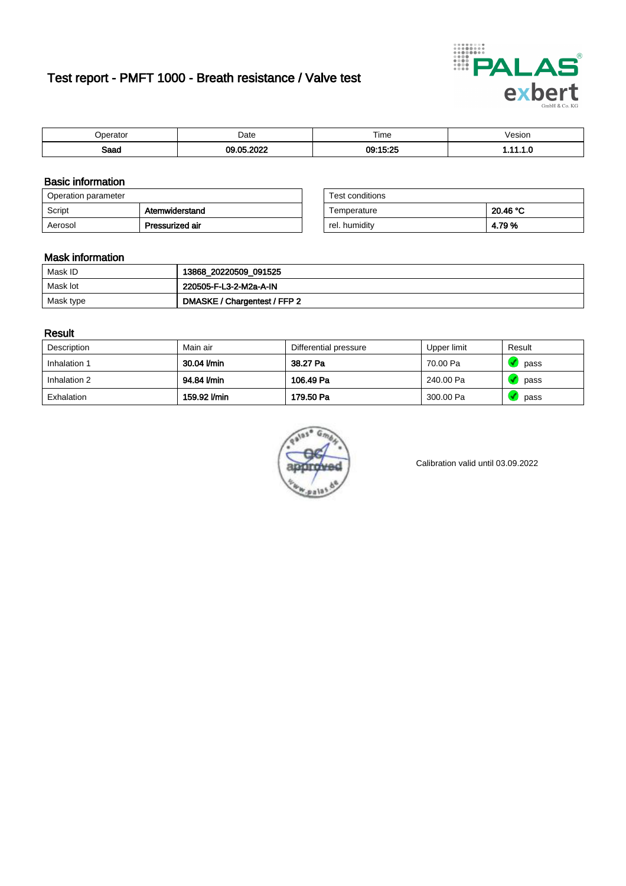# Test report - PMFT 1000 - Breath resistance / Valve test



| 'perator     | Date        | Time     | 'esıon<br>. |
|--------------|-------------|----------|-------------|
| Soon<br>oaau | 0.000<br>^5 | 09:15:25 | . .         |

### Basic information

| Operation parameter |                 | Test conditions |          |
|---------------------|-----------------|-----------------|----------|
| Script              | Atemwiderstand  | Temperature     | 20.46 °C |
| Aerosol             | Pressurized air | rel. humidity   | 4.79%    |

| Test conditions |          |
|-----------------|----------|
| Temperature     | 20.46 °C |
| rel. humidity   | 4.79%    |

### Mask information

| Mask ID   | 13868_20220509_091525        |
|-----------|------------------------------|
| Mask lot  | 220505-F-L3-2-M2a-A-IN       |
| Mask type | DMASKE / Chargentest / FFP 2 |

### Result

| Description  | Main air     | Differential pressure | Upper limit | Result |
|--------------|--------------|-----------------------|-------------|--------|
| Inhalation 1 | 30.04 l/min  | 38.27 Pa              | 70.00 Pa    | pass   |
| Inhalation 2 | 94.84 l/min  | 106.49 Pa             | 240.00 Pa   | pass   |
| Exhalation   | 159.92 l/min | 179.50 Pa             | 300.00 Pa   | pass   |



Calibration valid until 03.09.2022